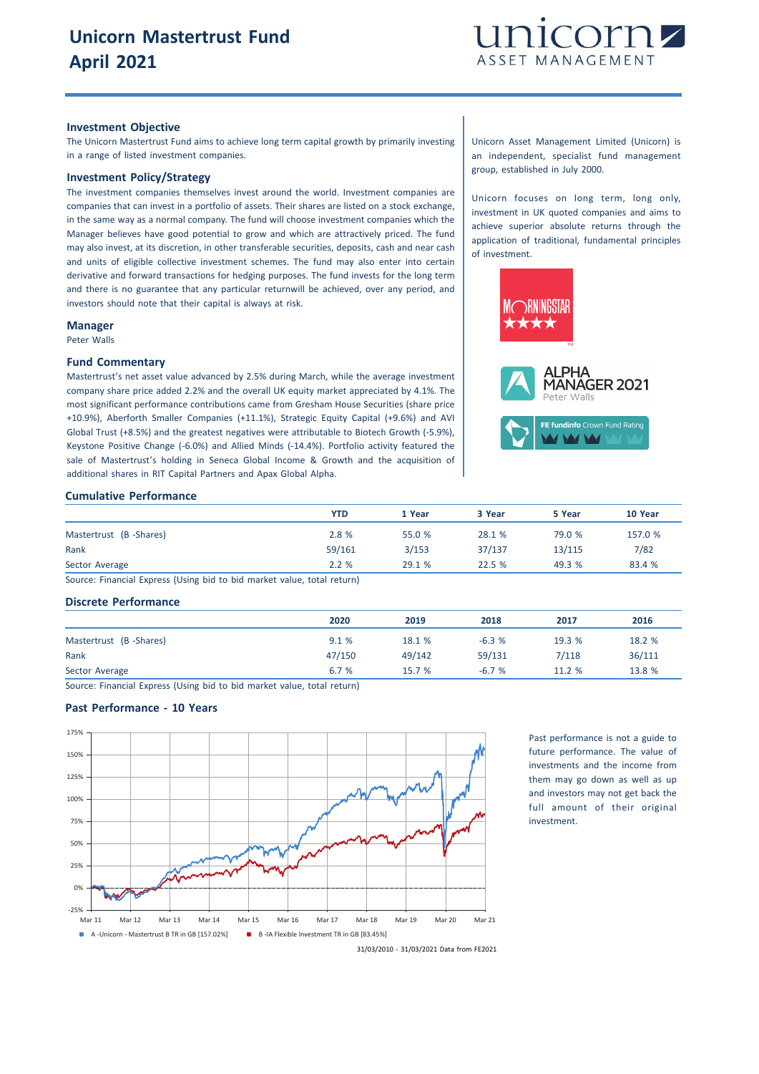

#### **Investment Objective**

The Unicorn Mastertrust Fund aims to achieve long term capital growth by primarily investing in a range of listed investment companies.

# **Investment Policy/Strategy**

The investment companies themselves invest around the world. Investment companies are companies that can invest in a portfolio of assets. Their shares are listed on a stock exchange, in the same way as a normal company. The fund will choose investment companies which the Manager believes have good potential to grow and which are attractively priced. The fund may also invest, at its discretion, in other transferable securities, deposits, cash and near cash and units of eligible collective investment schemes. The fund may also enter into certain derivative and forward transactions for hedging purposes. The fund invests for the long term and there is no guarantee that any particular returnwill be achieved, over any period, and investors should note that their capital is always at risk.

#### **Manager**

Peter Walls

#### **Fund Commentary**

Mastertrust's net asset value advanced by 2.5% during March, while the average investment company share price added 2.2% and the overall UK equity market appreciated by 4.1%. The most significant performance contributions came from Gresham House Securities (share price +10.9%), Aberforth Smaller Companies (+11.1%), Strategic Equity Capital (+9.6%) and AVI Global Trust (+8.5%) and the greatest negatives were attributable to Biotech Growth (-5.9%), Keystone Positive Change (-6.0%) and Allied Minds (-14.4%). Portfolio activity featured the sale of Mastertrust's holding in Seneca Global Income & Growth and the acquisition of additional shares in RIT Capital Partners and Apax Global Alpha.

# **Cumulative Performance**

|                        | <b>YTD</b> | 1 Year | 3 Year | 5 Year | 10 Year |
|------------------------|------------|--------|--------|--------|---------|
| Mastertrust (B-Shares) | 2.8 %      | 55.0 % | 28.1 % | 79.0 % | 157.0 % |
| Rank                   | 59/161     | 3/153  | 37/137 | 13/115 | 7/82    |
| Sector Average         | 2.2%       | 29.1 % | 22.5 % | 49.3 % | 83.4 %  |

Source: Financial Express (Using bid to bid market value, total return)

### **Discrete Performance**

|                        | 2020   | 2019   | 2018    | 2017   | 2016   |
|------------------------|--------|--------|---------|--------|--------|
| Mastertrust (B-Shares) | 9.1%   | 18.1 % | $-6.3%$ | 19.3 % | 18.2 % |
| Rank                   | 47/150 | 49/142 | 59/131  | 7/118  | 36/111 |
| Sector Average         | 6.7 %  | 15.7%  | $-6.7%$ | 11.2 % | 13.8 % |

Source: Financial Express (Using bid to bid market value, total return)

## **Past Performance - 10 Years**



Past performance is not a guide to future performance. The value of investments and the income from them may go down as well as up and investors may not get back the full amount of their original investment.

31/03/2010 - 31/03/2021 Data from FE2021

Unicorn Asset Management Limited (Unicorn) is an independent, specialist fund management group, established in July 2000.

Unicorn focuses on long term, long only, investment in UK quoted companies and aims to achieve superior absolute returns through the application of traditional, fundamental principles of investment.